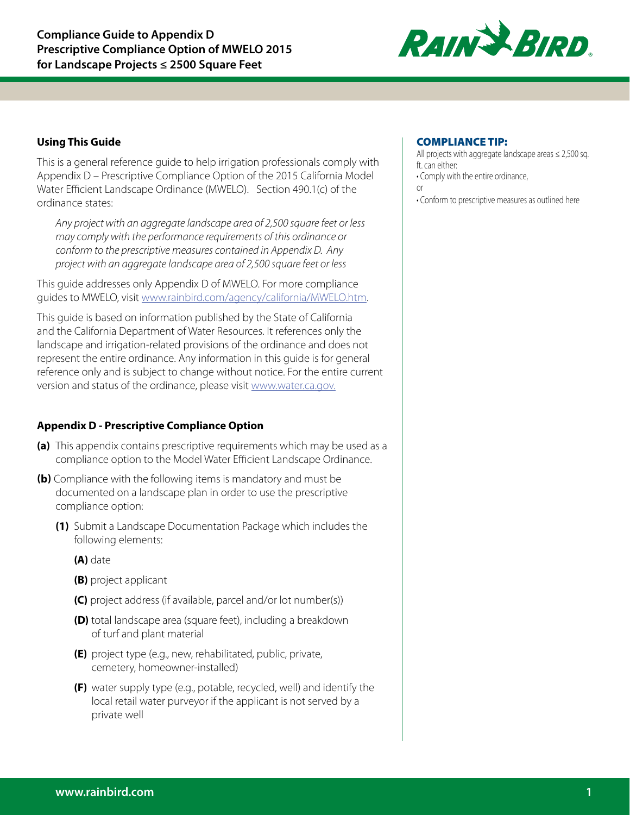

# **Using This Guide**

This is a general reference guide to help irrigation professionals comply with Appendix D – Prescriptive Compliance Option of the 2015 California Model Water Efficient Landscape Ordinance (MWELO). Section 490.1(c) of the ordinance states:

*Any project with an aggregate landscape area of 2,500 square feet or less may comply with the performance requirements of this ordinance or conform to the prescriptive measures contained in Appendix D. Any project with an aggregate landscape area of 2,500 square feet or less* 

This guide addresses only Appendix D of MWELO. For more compliance guides to MWELO, visit www.rainbird.com/agency/california/MWELO.htm.

This guide is based on information published by the State of California and the California Department of Water Resources. It references only the landscape and irrigation-related provisions of the ordinance and does not represent the entire ordinance. Any information in this guide is for general reference only and is subject to change without notice. For the entire current version and status of the ordinance, please visit www.water.ca.gov.

# **Appendix D - Prescriptive Compliance Option**

- **(a)** This appendix contains prescriptive requirements which may be used as a compliance option to the Model Water Efficient Landscape Ordinance.
- **(b)** Compliance with the following items is mandatory and must be documented on a landscape plan in order to use the prescriptive compliance option:
	- **(1)** Submit a Landscape Documentation Package which includes the following elements:
		- **(A)** date
		- **(B)** project applicant
		- **(C)** project address (if available, parcel and/or lot number(s))
		- **(D)** total landscape area (square feet), including a breakdown of turf and plant material
		- **(E)** project type (e.g., new, rehabilitated, public, private, cemetery, homeowner-installed)
		- **(F)** water supply type (e.g., potable, recycled, well) and identify the local retail water purveyor if the applicant is not served by a private well

# COMPLIANCE TIP:

All projects with aggregate landscape areas  $\leq$  2,500 sq. ft. can either:

• Comply with the entire ordinance,

or

• Conform to prescriptive measures as outlined here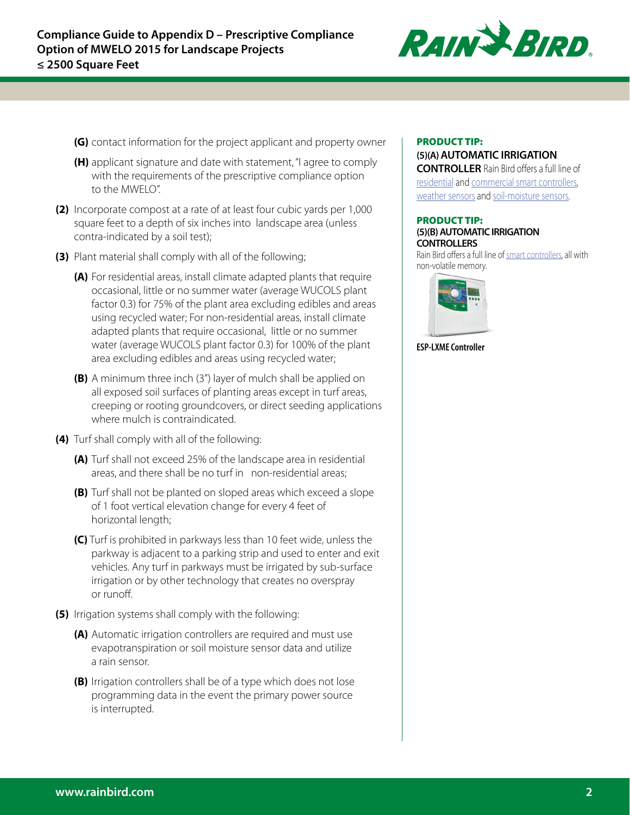

- **(G)** contact information for the project applicant and property owner
- **(H)** applicant signature and date with statement, "I agree to comply with the requirements of the prescriptive compliance option to the MWELO".
- **(2)** Incorporate compost at a rate of at least four cubic yards per 1,000 square feet to a depth of six inches into landscape area (unless contra-indicated by a soil test);
- **(3)** Plant material shall comply with all of the following;
	- **(A)** For residential areas, install climate adapted plants that require occasional, little or no summer water (average WUCOLS plant factor 0.3) for 75% of the plant area excluding edibles and areas using recycled water; For non-residential areas, install climate adapted plants that require occasional, little or no summer water (average WUCOLS plant factor 0.3) for 100% of the plant area excluding edibles and areas using recycled water;
	- **(B)** A minimum three inch (3") layer of mulch shall be applied on all exposed soil surfaces of planting areas except in turf areas, creeping or rooting groundcovers, or direct seeding applications where mulch is contraindicated.
- **(4)** Turf shall comply with all of the following:
	- **(A)** Turf shall not exceed 25% of the landscape area in residential areas, and there shall be no turf in non-residential areas;
	- **(B)** Turf shall not be planted on sloped areas which exceed a slope of 1 foot vertical elevation change for every 4 feet of horizontal length;
	- **(C)** Turf is prohibited in parkways less than 10 feet wide, unless the parkway is adjacent to a parking strip and used to enter and exit vehicles. Any turf in parkways must be irrigated by sub-surface irrigation or by other technology that creates no overspray or runoff.
- **(5)** Irrigation systems shall comply with the following:
	- **(A)** Automatic irrigation controllers are required and must use evapotranspiration or soil moisture sensor data and utilize a rain sensor.
	- **(B)** Irrigation controllers shall be of a type which does not lose programming data in the event the primary power source is interrupted.

## PRODUCT TIP:

#### **(5)(A) AUTOMATIC IRRIGATION CONTROLLER** Rain Bird offers a full line of

[residential](http://rainbird.com/landscape/products/controllers/ESP-SMTe.htm) and [commercial smart controllers,](http://rainbird.com/landscape/products/controllers/ESP-LXME.htm) [weather sensors](http://rainbird.com/landscape/products/controllers/WR2sensor.htm#.VsYbJ-bYH3g) and [soil-moisture sensors.](http://rainbird.com/landscape/products/controllers/SMRTY.htm)

#### PRODUCT TIP: **(5)(B) AUTOMATIC IRRIGATION CONTROLLERS**

Rain Bird offers a full line of [smart controllers,](http://www.rainbird.com/landscape/products/controllers/ESP-LXME.htm) all with non-volatile memory.



**ESP-LXME Controller**